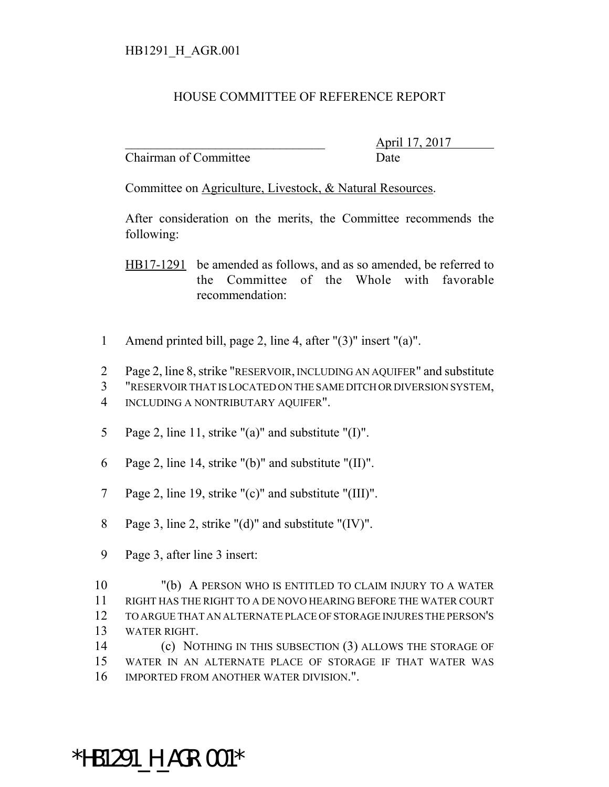## HOUSE COMMITTEE OF REFERENCE REPORT

Chairman of Committee Date

\_\_\_\_\_\_\_\_\_\_\_\_\_\_\_\_\_\_\_\_\_\_\_\_\_\_\_\_\_\_\_ April 17, 2017

Committee on Agriculture, Livestock, & Natural Resources.

After consideration on the merits, the Committee recommends the following:

HB17-1291 be amended as follows, and as so amended, be referred to the Committee of the Whole with favorable recommendation:

- 1 Amend printed bill, page 2, line 4, after "(3)" insert "(a)".
- 2 Page 2, line 8, strike "RESERVOIR, INCLUDING AN AQUIFER" and substitute
- 3 "RESERVOIR THAT IS LOCATED ON THE SAME DITCH OR DIVERSION SYSTEM,
- 4 INCLUDING A NONTRIBUTARY AQUIFER".
- 5 Page 2, line 11, strike "(a)" and substitute "(I)".
- 6 Page 2, line 14, strike "(b)" and substitute "(II)".
- 7 Page 2, line 19, strike "(c)" and substitute "(III)".
- 8 Page 3, line 2, strike "(d)" and substitute "(IV)".
- 9 Page 3, after line 3 insert:

 "(b) A PERSON WHO IS ENTITLED TO CLAIM INJURY TO A WATER RIGHT HAS THE RIGHT TO A DE NOVO HEARING BEFORE THE WATER COURT TO ARGUE THAT AN ALTERNATE PLACE OF STORAGE INJURES THE PERSON'S WATER RIGHT.

14 (c) NOTHING IN THIS SUBSECTION (3) ALLOWS THE STORAGE OF 15 WATER IN AN ALTERNATE PLACE OF STORAGE IF THAT WATER WAS 16 IMPORTED FROM ANOTHER WATER DIVISION.".

## \*HB1291 H AGR.001\*